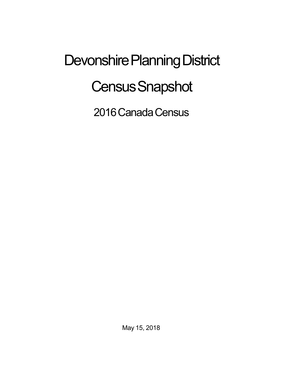## Devonshire Planning District **Census Snapshot**

2016 Canada Census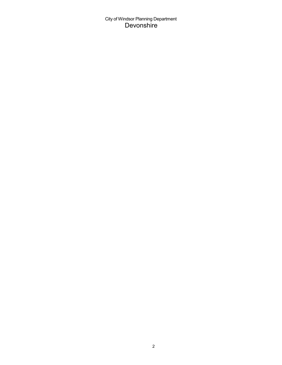City of Windsor Planning Department Devonshire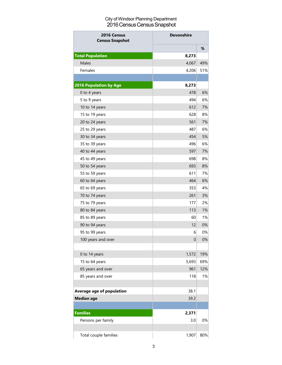## City of Windsor Planning Department 2016 Census Census Snapshot

| 2016 Census<br><b>Census Snapshot</b> | <b>Devonshire</b> |     |
|---------------------------------------|-------------------|-----|
|                                       |                   | %   |
| <b>Total Population</b>               | 8,273             |     |
| Males                                 | 4,067             | 49% |
| Females                               | 4,206             | 51% |
|                                       |                   |     |
| <b>2016 Population by Age</b>         | 8,273             |     |
| 0 to 4 years                          | 478               | 6%  |
| 5 to 9 years                          | 494               | 6%  |
| 10 to 14 years                        | 612               | 7%  |
| 15 to 19 years                        | 628               | 8%  |
| 20 to 24 years                        | 561               | 7%  |
| 25 to 29 years                        | 487               | 6%  |
| 30 to 34 years                        | 454               | 5%  |
| 35 to 39 years                        | 496               | 6%  |
| 40 to 44 years                        | 597               | 7%  |
| 45 to 49 years                        | 698               | 8%  |
| 50 to 54 years                        | 693               | 8%  |
| 55 to 59 years                        | 611               | 7%  |
| 60 to 64 years                        | 464               | 6%  |
| 65 to 69 years                        | 353               | 4%  |
| 70 to 74 years                        | 261               | 3%  |
| 75 to 79 years                        | 177               | 2%  |
| 80 to 84 years                        | 113               | 1%  |
| 85 to 89 years                        | 60                | 1%  |
| 90 to 94 years                        | 12                | 0%  |
| 95 to 99 years                        | 6                 | 0%  |
| 100 years and over                    | 0                 | 0%  |
|                                       |                   |     |
| 0 to 14 years                         | 1,572             | 19% |
| 15 to 64 years                        | 5,693             | 69% |
| 65 years and over                     | 961               | 12% |
| 85 years and over                     | 118               | 1%  |
|                                       |                   |     |
| Average age of population             | 38.1              |     |
| <b>Median age</b>                     | 39.2              |     |
| <b>Families</b>                       | 2,371             |     |
| Persons per family                    | 3.0               | 0%  |
| Total couple families                 | 1,907             | 80% |